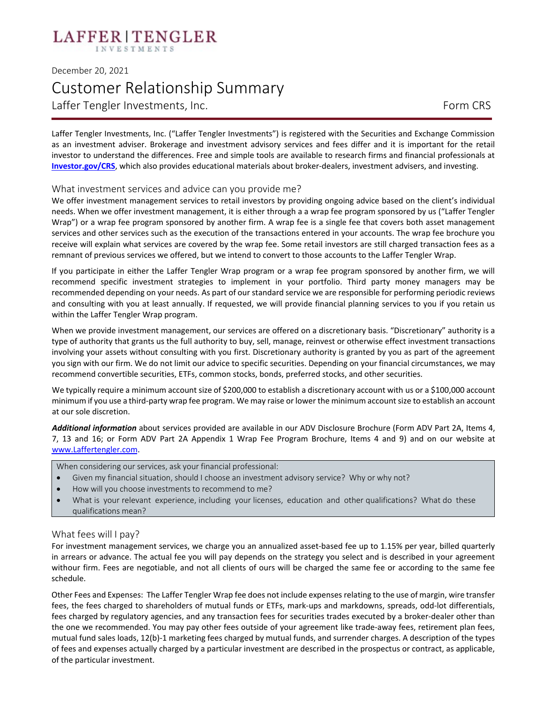# LAFFER | TENGLER

## December 20, 2021 Customer Relationship Summary Laffer Tengler Investments, Inc. The Contract of the CRS Form CRS

Laffer Tengler Investments, Inc. ("Laffer Tengler Investments") is registered with the Securities and Exchange Commission as an investment adviser. Brokerage and investment advisory services and fees differ and it is important for the retail investor to understand the differences. Free and simple tools are available to research firms and financial professionals at **[Investor.gov/CRS](https://www.investor.gov/CRS)**, which also provides educational materials about broker-dealers, investment advisers, and investing.

### What investment services and advice can you provide me?

We offer investment management services to retail investors by providing ongoing advice based on the client's individual needs. When we offer investment management, it is either through a a wrap fee program sponsored by us ("Laffer Tengler Wrap") or a wrap fee program sponsored by another firm. A wrap fee is a single fee that covers both asset management services and other services such as the execution of the transactions entered in your accounts. The wrap fee brochure you receive will explain what services are covered by the wrap fee. Some retail investors are still charged transaction fees as a remnant of previous services we offered, but we intend to convert to those accounts to the Laffer Tengler Wrap.

If you participate in either the Laffer Tengler Wrap program or a wrap fee program sponsored by another firm, we will recommend specific investment strategies to implement in your portfolio. Third party money managers may be recommended depending on your needs. As part of our standard service we are responsible for performing periodic reviews and consulting with you at least annually. If requested, we will provide financial planning services to you if you retain us within the Laffer Tengler Wrap program.

When we provide investment management, our services are offered on a discretionary basis. "Discretionary" authority is a type of authority that grants us the full authority to buy, sell, manage, reinvest or otherwise effect investment transactions involving your assets without consulting with you first. Discretionary authority is granted by you as part of the agreement you sign with our firm. We do not limit our advice to specific securities. Depending on your financial circumstances, we may recommend convertible securities, ETFs, common stocks, bonds, preferred stocks, and other securities.

We typically require a minimum account size of \$200,000 to establish a discretionary account with us or a \$100,000 account minimum if you use a third-party wrap fee program. We may raise or lower the minimum account size to establish an account at our sole discretion.

*Additional information* about services provided are available in our ADV Disclosure Brochure (Form ADV Part 2A, Items 4, 7, 13 and 16; or Form ADV Part 2A Appendix 1 Wrap Fee Program Brochure, Items 4 and 9) and on our website at [www.Laffertengler.com.](http://www.laffertengler.com/)

When considering our services, ask your financial professional:

- Given my financial situation, should I choose an investment advisory service? Why or why not?
- How will you choose investments to recommend to me?
- What is your relevant experience, including your licenses, education and other qualifications? What do these qualifications mean?

### What fees will I pay?

For investment management services, we charge you an annualized asset-based fee up to 1.15% per year, billed quarterly in arrears or advance. The actual fee you will pay depends on the strategy you select and is described in your agreement withour firm. Fees are negotiable, and not all clients of ours will be charged the same fee or according to the same fee schedule.

Other Fees and Expenses: The Laffer Tengler Wrap fee does not include expenses relating to the use of margin, wire transfer fees, the fees charged to shareholders of mutual funds or ETFs, mark-ups and markdowns, spreads, odd-lot differentials, fees charged by regulatory agencies, and any transaction fees for securities trades executed by a broker-dealer other than the one we recommended. You may pay other fees outside of your agreement like trade-away fees, retirement plan fees, mutual fund sales loads, 12(b)-1 marketing fees charged by mutual funds, and surrender charges. A description of the types of fees and expenses actually charged by a particular investment are described in the prospectus or contract, as applicable, of the particular investment.